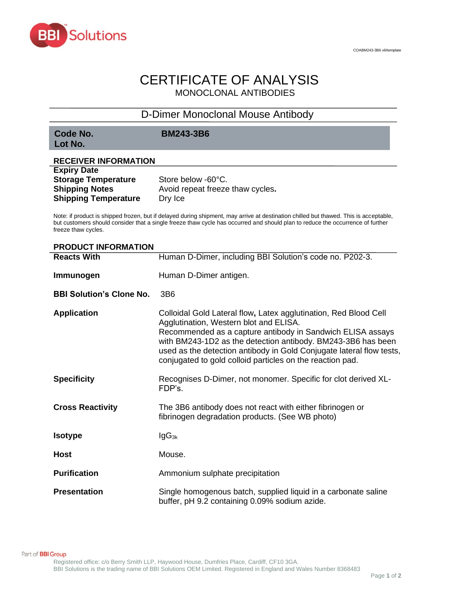

# CERTIFICATE OF ANALYSIS MONOCLONAL ANTIBODIES

## D-Dimer Monoclonal Mouse Antibody

**Lot No.**

**Code No. BM243-3B6**

### **RECEIVER INFORMATION Expiry Date**

| Expiry Date                 |                                  |
|-----------------------------|----------------------------------|
| <b>Storage Temperature</b>  | Store below -60°C.               |
| <b>Shipping Notes</b>       | Avoid repeat freeze thaw cycles. |
| <b>Shipping Temperature</b> | Dry Ice                          |

Note: if product is shipped frozen, but if delayed during shipment, may arrive at destination chilled but thawed. This is acceptable, but customers should consider that a single freeze thaw cycle has occurred and should plan to reduce the occurrence of further freeze thaw cycles.

### **PRODUCT INFORMATION**

| <b>Reacts With</b>              | Human D-Dimer, including BBI Solution's code no. P202-3.                                                                                                                                                                                                                                                                                                                      |  |
|---------------------------------|-------------------------------------------------------------------------------------------------------------------------------------------------------------------------------------------------------------------------------------------------------------------------------------------------------------------------------------------------------------------------------|--|
| Immunogen                       | Human D-Dimer antigen.                                                                                                                                                                                                                                                                                                                                                        |  |
| <b>BBI Solution's Clone No.</b> | 3 <sub>B6</sub>                                                                                                                                                                                                                                                                                                                                                               |  |
| <b>Application</b>              | Colloidal Gold Lateral flow, Latex agglutination, Red Blood Cell<br>Agglutination, Western blot and ELISA.<br>Recommended as a capture antibody in Sandwich ELISA assays<br>with BM243-1D2 as the detection antibody. BM243-3B6 has been<br>used as the detection antibody in Gold Conjugate lateral flow tests,<br>conjugated to gold colloid particles on the reaction pad. |  |
| <b>Specificity</b>              | Recognises D-Dimer, not monomer. Specific for clot derived XL-<br>FDP's.                                                                                                                                                                                                                                                                                                      |  |
| <b>Cross Reactivity</b>         | The 3B6 antibody does not react with either fibrinogen or<br>fibrinogen degradation products. (See WB photo)                                                                                                                                                                                                                                                                  |  |
| <b>Isotype</b>                  | $lgG_{3k}$                                                                                                                                                                                                                                                                                                                                                                    |  |
| <b>Host</b>                     | Mouse.                                                                                                                                                                                                                                                                                                                                                                        |  |
| <b>Purification</b>             | Ammonium sulphate precipitation                                                                                                                                                                                                                                                                                                                                               |  |
| <b>Presentation</b>             | Single homogenous batch, supplied liquid in a carbonate saline<br>buffer, pH 9.2 containing 0.09% sodium azide.                                                                                                                                                                                                                                                               |  |

Part of **BBI Group**